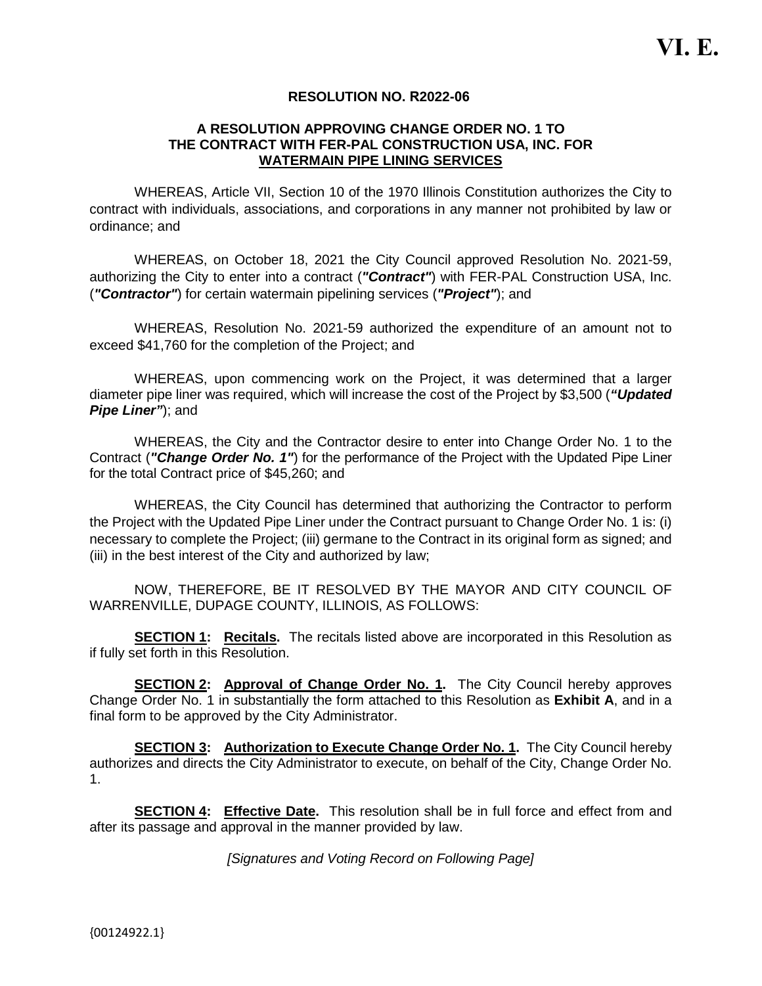#### **RESOLUTION NO. R2022-06**

#### **A RESOLUTION APPROVING CHANGE ORDER NO. 1 TO THE CONTRACT WITH FER-PAL CONSTRUCTION USA, INC. FOR WATERMAIN PIPE LINING SERVICES**

WHEREAS, Article VII, Section 10 of the 1970 Illinois Constitution authorizes the City to contract with individuals, associations, and corporations in any manner not prohibited by law or ordinance; and

WHEREAS, on October 18, 2021 the City Council approved Resolution No. 2021-59, authorizing the City to enter into a contract (*"Contract"*) with FER-PAL Construction USA, Inc. (*"Contractor"*) for certain watermain pipelining services (*"Project"*); and

WHEREAS, Resolution No. 2021-59 authorized the expenditure of an amount not to exceed \$41,760 for the completion of the Project; and

WHEREAS, upon commencing work on the Project, it was determined that a larger diameter pipe liner was required, which will increase the cost of the Project by \$3,500 (*"Updated Pipe Liner"*); and

WHEREAS, the City and the Contractor desire to enter into Change Order No. 1 to the Contract (*"Change Order No. 1"*) for the performance of the Project with the Updated Pipe Liner for the total Contract price of \$45,260; and

WHEREAS, the City Council has determined that authorizing the Contractor to perform the Project with the Updated Pipe Liner under the Contract pursuant to Change Order No. 1 is: (i) necessary to complete the Project; (iii) germane to the Contract in its original form as signed; and (iii) in the best interest of the City and authorized by law;

NOW, THEREFORE, BE IT RESOLVED BY THE MAYOR AND CITY COUNCIL OF WARRENVILLE, DUPAGE COUNTY, ILLINOIS, AS FOLLOWS:

**SECTION 1: Recitals.** The recitals listed above are incorporated in this Resolution as if fully set forth in this Resolution.

**SECTION 2:** Approval of Change Order No. 1. The City Council hereby approves Change Order No. 1 in substantially the form attached to this Resolution as **Exhibit A**, and in a final form to be approved by the City Administrator.

**SECTION 3: Authorization to Execute Change Order No. 1.** The City Council hereby authorizes and directs the City Administrator to execute, on behalf of the City, Change Order No. 1.

**SECTION 4: Effective Date.** This resolution shall be in full force and effect from and after its passage and approval in the manner provided by law.

*[Signatures and Voting Record on Following Page]*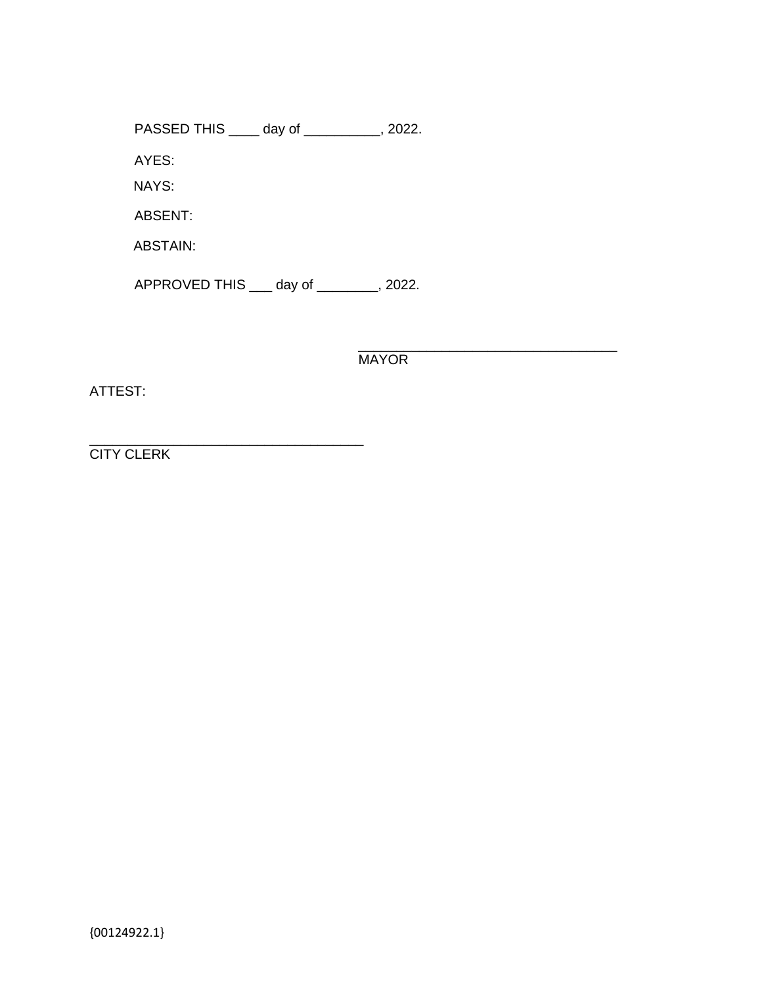PASSED THIS \_\_\_\_ day of \_\_\_\_\_\_\_\_\_\_, 2022.

AYES:

NAYS:

ABSENT:

ABSTAIN:

APPROVED THIS \_\_\_ day of \_\_\_\_\_\_\_\_, 2022.

\_\_\_\_\_\_\_\_\_\_\_\_\_\_\_\_\_\_\_\_\_\_\_\_\_\_\_\_\_\_\_\_\_\_ **MAYOR** 

ATTEST:

\_\_\_\_\_\_\_\_\_\_\_\_\_\_\_\_\_\_\_\_\_\_\_\_\_\_\_\_\_\_\_\_\_\_\_\_ **CITY CLERK**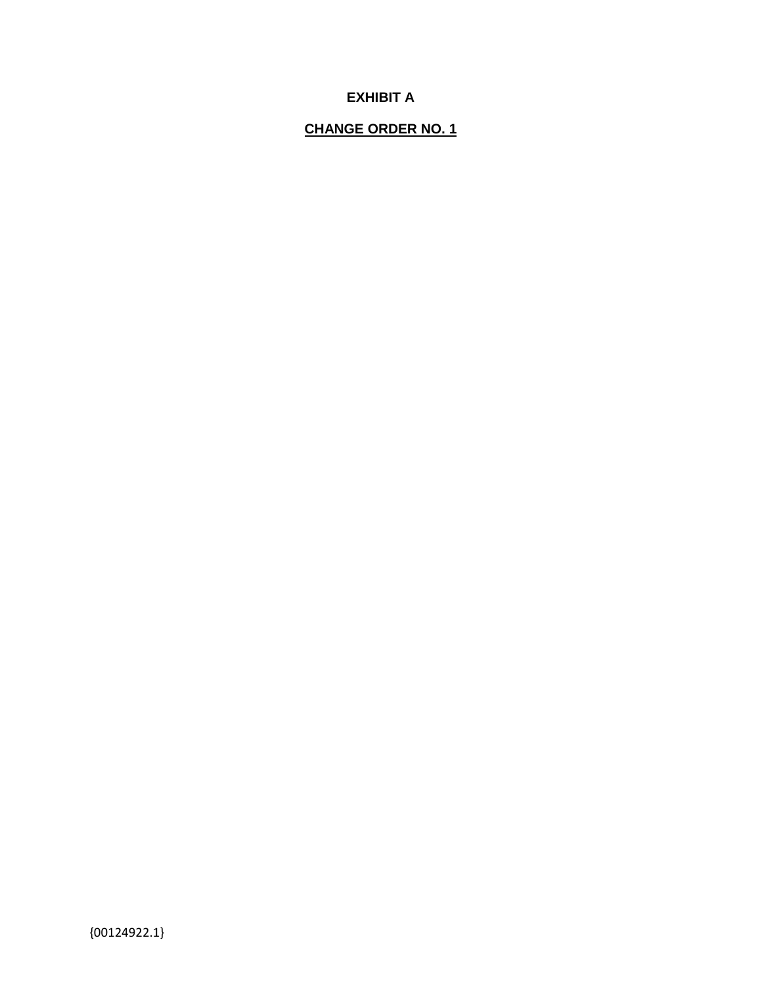## **EXHIBIT A**

### **CHANGE ORDER NO. 1**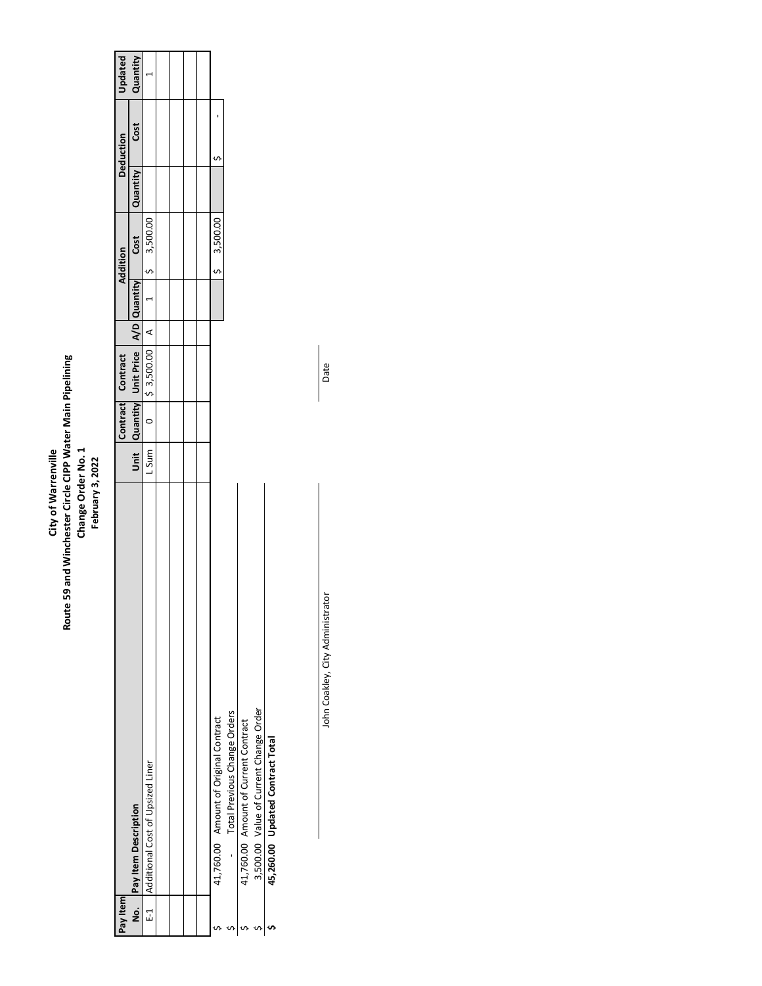# City of Warrenville<br>Route 59 and Winchester Circle CIPP Water Main Pipelining<br>Change Order No. 1<br>February 3, 2022 **Route 59 and Winchester Circle CIPP Water Main Pipelining Change Order No. 1 City of Warrenville February 3, 2022**

| Pay Item |                                        |       | Contract Contract                          |         | <b>Addition</b> |                 |          | Deduction | <b>Updated</b> |
|----------|----------------------------------------|-------|--------------------------------------------|---------|-----------------|-----------------|----------|-----------|----------------|
|          | No. Pay Item Description               |       | Unit Quantity Unit Price A/D Quantity Cost |         |                 |                 | Quantity | Cost      | Quantity       |
| ្ប<br>ជ  | Additional Cost of Upsized Liner       | L Sum | $0 \quad   \; 5 \; 3,500.00$               | $\prec$ |                 | $ 5 \t3,500.00$ |          |           |                |
|          |                                        |       |                                            |         |                 |                 |          |           |                |
|          |                                        |       |                                            |         |                 |                 |          |           |                |
|          |                                        |       |                                            |         |                 |                 |          |           |                |
|          |                                        |       |                                            |         |                 |                 |          |           |                |
|          | 41,760.00 Amount of Original Contract  |       |                                            |         |                 | \$3,500.00      |          |           |                |
|          | - Total Previous Change Orders         |       |                                            |         |                 |                 |          |           |                |
|          | 41,760.00 Amount of Current Contract   |       |                                            |         |                 |                 |          |           |                |
|          | 3,500.00 Value of Current Change Order |       |                                            |         |                 |                 |          |           |                |
|          | 45,260.00 Updated Contract Total       |       |                                            |         |                 |                 |          |           |                |

John Coakley, City Administrator Date John Coakley, City Administrator

Date